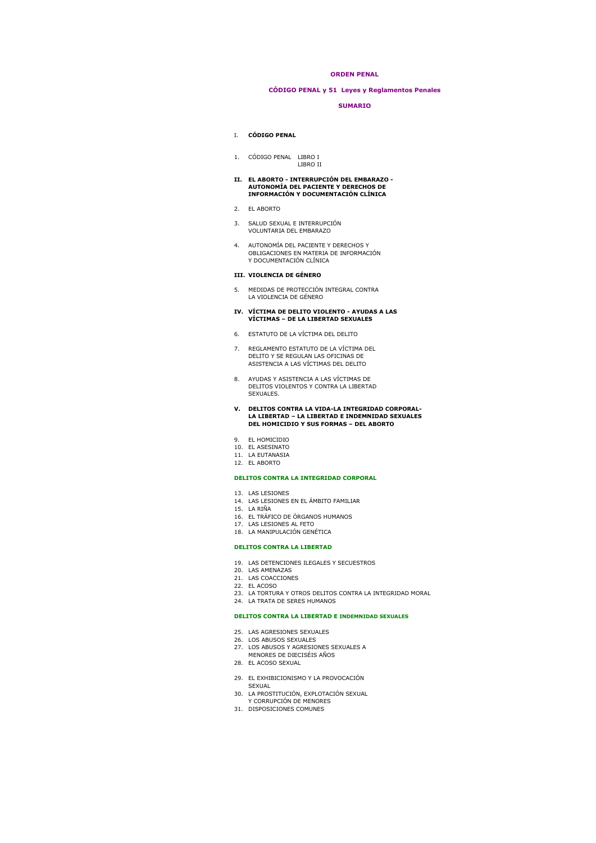## **ORDEN PENAL**

## **CÓDIGO PENAL y 51 Leyes y Reglamentos Penales**

## **SUMARIO**

## I. **CÓDIGO PENAL**

1. CÓDIGO PENAL LIBRO I LIBRO II

# **II. EL ABORTO - INTERRUPCIÓN DEL EMBARAZO - AUTONOMÍA DEL PACIENTE Y DERECHOS DE INFORMACIÓN Y DOCUMENTACIÓN CLÍNICA**

- 2. EL ABORTO
- 3. SALUD SEXUAL E INTERRUPCIÓN VOLUNTARIA DEL EMBARAZO
- 4. AUTONOMÍA DEL PACIENTE Y DERECHOS Y OBLIGACIONES EN MATERIA DE INFORMACIÓN Y DOCUMENTACIÓN CLÍNICA

#### **III. VIOLENCIA DE GÉNERO**

5. MEDIDAS DE PROTECCIÓN INTEGRAL CONTRA LA VIOLENCIA DE GÉNERO

#### **IV. VÍCTIMA DE DELITO VIOLENTO - AYUDAS A LAS VÍCTIMAS – DE LA LIBERTAD SEXUALES**

- 6. ESTATUTO DE LA VÍCTIMA DEL DELITO
- 7. REGLAMENTO ESTATUTO DE LA VÍCTIMA DEL DELITO Y SE REGULAN LAS OFICINAS DE ASISTENCIA A LAS VÍCTIMAS DEL DELITO
- 8. AYUDAS Y ASISTENCIA A LAS VÍCTIMAS DE DELITOS VIOLENTOS Y CONTRA LA LIBERTAD SEXUALES.

# **V. DELITOS CONTRA LA VIDA-LA INTEGRIDAD CORPORAL-LA LIBERTAD – LA LIBERTAD E INDEMNIDAD SEXUALES DEL HOMICIDIO Y SUS FORMAS – DEL ABORTO**

- 9. EL HOMICIDIO
- 10. EL ASESINATO
- 11. LA EUTANASIA 12. EL ABORTO

### **DELITOS CONTRA LA INTEGRIDAD CORPORAL**

- 13. LAS LESIONES
- 14. LAS LESIONES EN EL ÁMBITO FAMILIAR
- 15. LA RIÑA
- 16. EL TRAFICO DE ORGANOS HUMANOS<br>17. LAS LESIONES AL FETO
- 18. LA MANIPULACIÓN GENÉTICA
- 

## **DELITOS CONTRA LA LIBERTAD**

- 19. LAS DETENCIONES ILEGALES Y SECUESTROS
- 20. LAS AMENAZAS
- 21. LAS COACCIONES 22. EL ACOSO
- 
- 23. LA TORTURA Y OTROS DELITOS CONTRA LA INTEGRIDAD MORAL
- 24. LA TRATA DE SERES HUMANOS

## **DELITOS CONTRA LA LIBERTAD E INDEMNIDAD SEXUALES**

- 25. LAS AGRESIONES SEXUALES
- 
- 26. LOS ABUSOS SEXUALES 27. LOS ABUSOS Y AGRESIONES SEXUALES A MENORES DE DIECISÉIS AÑOS
- 28. EL ACOSO SEXUAL
- 
- 29. EL EXHIBICIONISMO Y LA PROVOCACIÓN SEXUAL
- 30. LA PROSTITUCIÓN, EXPLOTACIÓN SEXUAL
- Y CORRUPCIÓN DE MENORES 31. DISPOSICIONES COMUNES
-